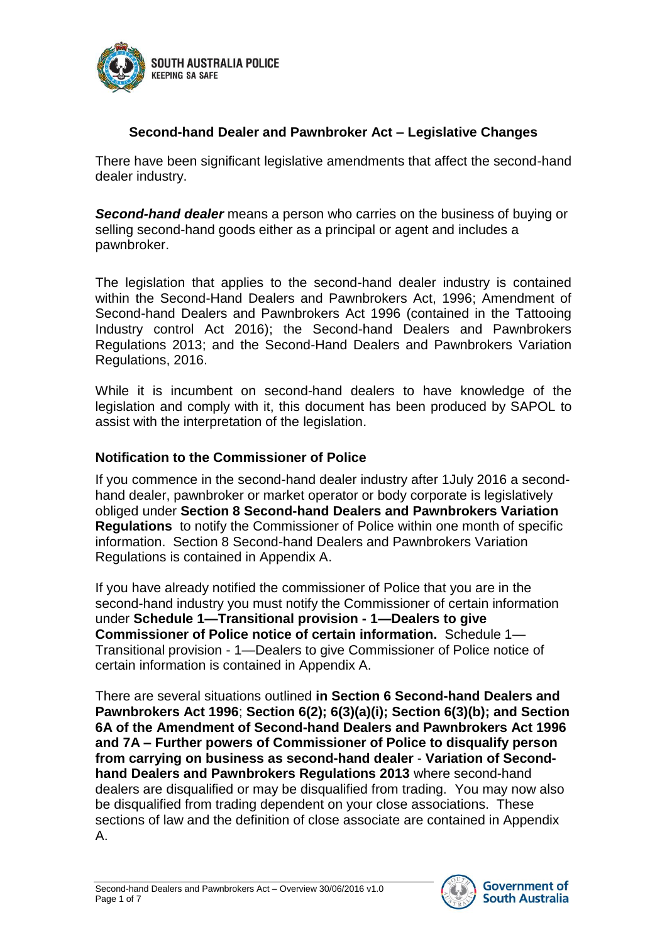

## **Second-hand Dealer and Pawnbroker Act – Legislative Changes**

There have been significant legislative amendments that affect the second-hand dealer industry.

*Second-hand dealer* means a person who carries on the business of buying or selling second-hand goods either as a principal or agent and includes a pawnbroker.

The legislation that applies to the second-hand dealer industry is contained within the Second-Hand Dealers and Pawnbrokers Act, 1996; Amendment of Second-hand Dealers and Pawnbrokers Act 1996 (contained in the Tattooing Industry control Act 2016); the Second-hand Dealers and Pawnbrokers Regulations 2013; and the Second-Hand Dealers and Pawnbrokers Variation Regulations, 2016.

While it is incumbent on second-hand dealers to have knowledge of the legislation and comply with it, this document has been produced by SAPOL to assist with the interpretation of the legislation.

#### **Notification to the Commissioner of Police**

If you commence in the second-hand dealer industry after 1July 2016 a secondhand dealer, pawnbroker or market operator or body corporate is legislatively obliged under **Section 8 Second-hand Dealers and Pawnbrokers Variation Regulations** to notify the Commissioner of Police within one month of specific information. Section 8 Second-hand Dealers and Pawnbrokers Variation Regulations is contained in Appendix A.

If you have already notified the commissioner of Police that you are in the second-hand industry you must notify the Commissioner of certain information under **Schedule 1—Transitional provision - 1—Dealers to give Commissioner of Police notice of certain information.** Schedule 1— Transitional provision - 1—Dealers to give Commissioner of Police notice of certain information is contained in Appendix A.

There are several situations outlined **in Section 6 Second-hand Dealers and Pawnbrokers Act 1996**; **Section 6(2); 6(3)(a)(i); Section 6(3)(b); and Section 6A of the Amendment of Second-hand Dealers and Pawnbrokers Act 1996 and 7A – Further powers of Commissioner of Police to disqualify person from carrying on business as second-hand dealer** - **Variation of Secondhand Dealers and Pawnbrokers Regulations 2013** where second-hand dealers are disqualified or may be disqualified from trading. You may now also be disqualified from trading dependent on your close associations. These sections of law and the definition of close associate are contained in Appendix A.

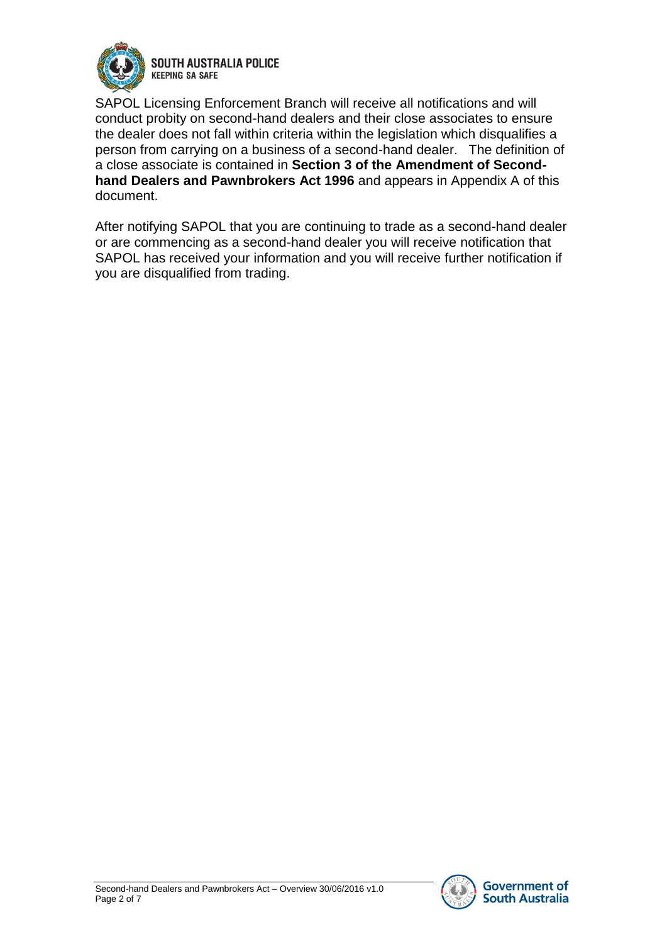

**SOUTH AUSTRALIA POLICE KEEPING SA SAFE** 

SAPOL Licensing Enforcement Branch will receive all notifications and will conduct probity on second-hand dealers and their close associates to ensure the dealer does not fall within criteria within the legislation which disqualifies a person from carrying on a business of a second-hand dealer. The definition of a close associate is contained in **Section 3 of the Amendment of Secondhand Dealers and Pawnbrokers Act 1996** and appears in Appendix A of this document.

After notifying SAPOL that you are continuing to trade as a second-hand dealer or are commencing as a second-hand dealer you will receive notification that SAPOL has received your information and you will receive further notification if you are disqualified from trading.

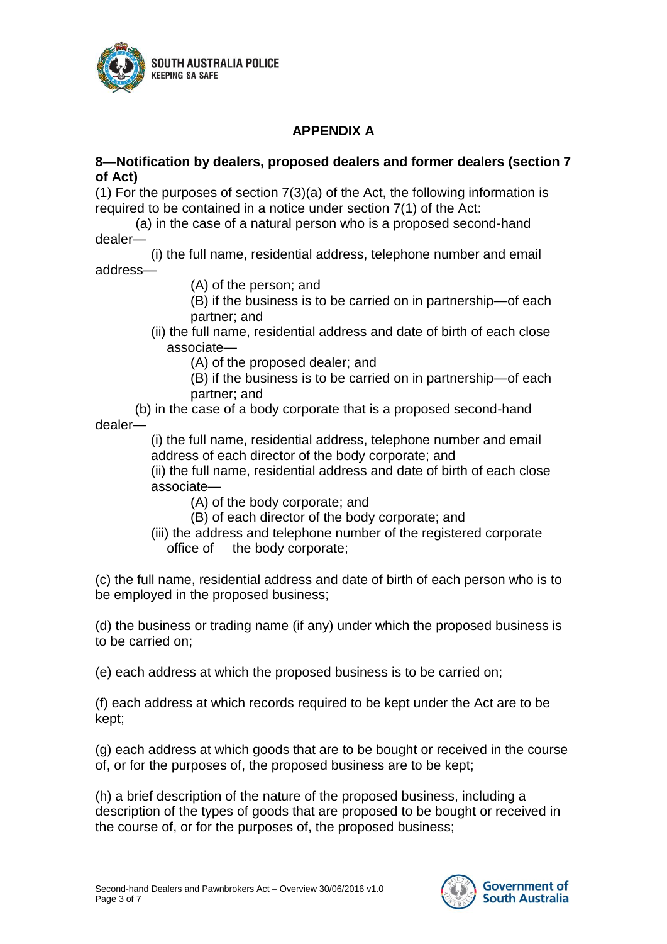

# **APPENDIX A**

#### **8—Notification by dealers, proposed dealers and former dealers (section 7 of Act)**

(1) For the purposes of section 7(3)(a) of the Act, the following information is required to be contained in a notice under section 7(1) of the Act:

(a) in the case of a natural person who is a proposed second-hand dealer—

(i) the full name, residential address, telephone number and email address—

(A) of the person; and

(B) if the business is to be carried on in partnership—of each partner; and

(ii) the full name, residential address and date of birth of each close associate—

(A) of the proposed dealer; and

(B) if the business is to be carried on in partnership—of each partner; and

(b) in the case of a body corporate that is a proposed second-hand dealer—

(i) the full name, residential address, telephone number and email address of each director of the body corporate; and

(ii) the full name, residential address and date of birth of each close associate—

(A) of the body corporate; and

- (B) of each director of the body corporate; and
- (iii) the address and telephone number of the registered corporate office of the body corporate;

(c) the full name, residential address and date of birth of each person who is to be employed in the proposed business;

(d) the business or trading name (if any) under which the proposed business is to be carried on;

(e) each address at which the proposed business is to be carried on;

(f) each address at which records required to be kept under the Act are to be kept;

(g) each address at which goods that are to be bought or received in the course of, or for the purposes of, the proposed business are to be kept;

(h) a brief description of the nature of the proposed business, including a description of the types of goods that are proposed to be bought or received in the course of, or for the purposes of, the proposed business;

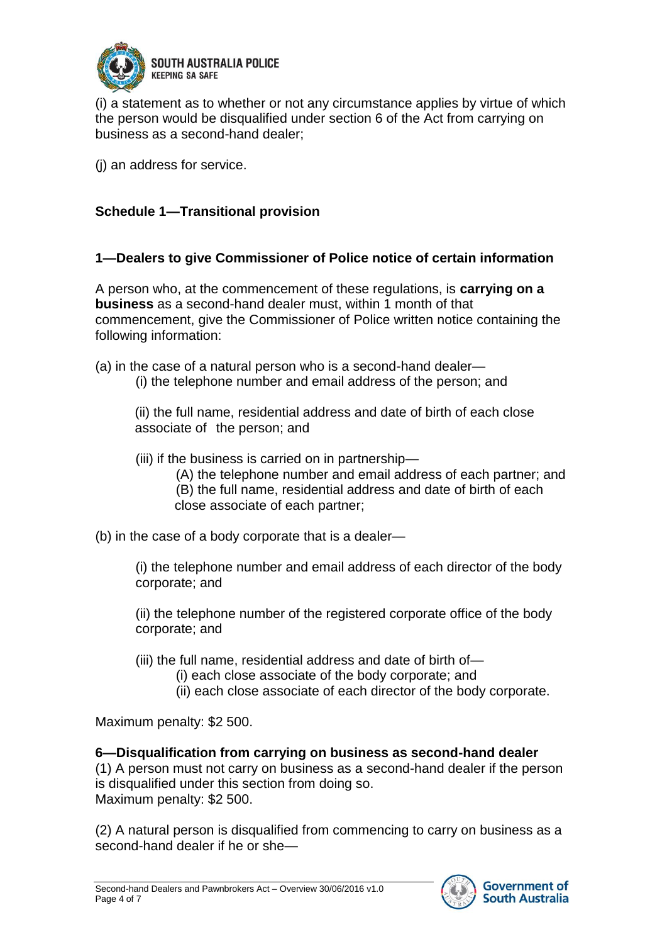

(i) a statement as to whether or not any circumstance applies by virtue of which the person would be disqualified under section 6 of the Act from carrying on business as a second-hand dealer;

(j) an address for service.

## **Schedule 1—Transitional provision**

## **1—Dealers to give Commissioner of Police notice of certain information**

A person who, at the commencement of these regulations, is **carrying on a business** as a second-hand dealer must, within 1 month of that commencement, give the Commissioner of Police written notice containing the following information:

- (a) in the case of a natural person who is a second-hand dealer—
	- (i) the telephone number and email address of the person; and

(ii) the full name, residential address and date of birth of each close associate of the person; and

- (iii) if the business is carried on in partnership—
	- (A) the telephone number and email address of each partner; and (B) the full name, residential address and date of birth of each close associate of each partner;
- (b) in the case of a body corporate that is a dealer—

(i) the telephone number and email address of each director of the body corporate; and

(ii) the telephone number of the registered corporate office of the body corporate; and

- (iii) the full name, residential address and date of birth of—
	- (i) each close associate of the body corporate; and
	- (ii) each close associate of each director of the body corporate.

Maximum penalty: \$2 500.

## **6—Disqualification from carrying on business as second-hand dealer**

(1) A person must not carry on business as a second-hand dealer if the person is disqualified under this section from doing so. Maximum penalty: \$2 500.

(2) A natural person is disqualified from commencing to carry on business as a second-hand dealer if he or she—

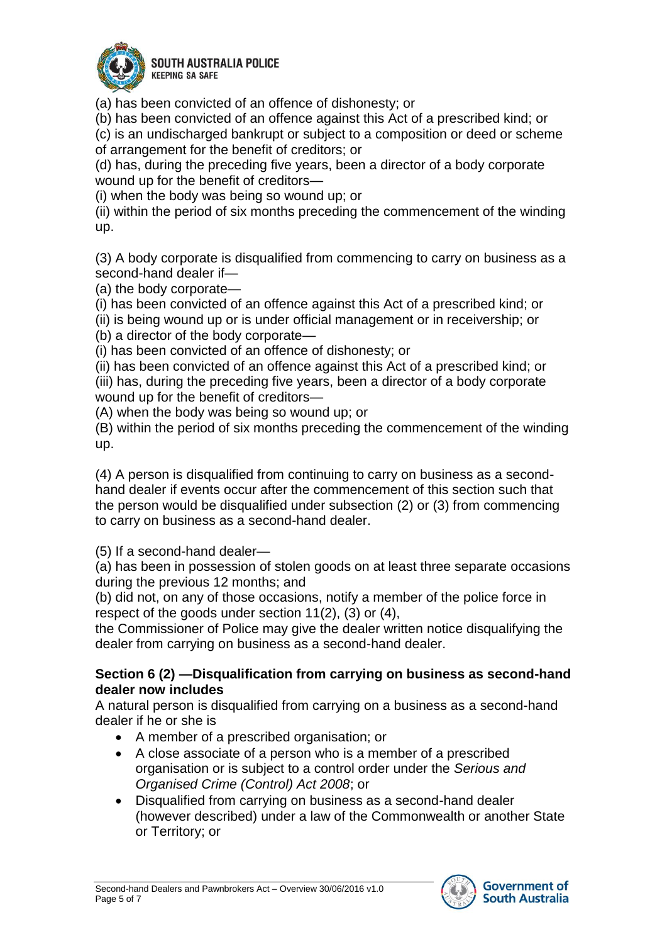

**SOUTH AUSTRALIA POLICE KEEPING SA SAFE** 

(a) has been convicted of an offence of dishonesty; or

(b) has been convicted of an offence against this Act of a prescribed kind; or

(c) is an undischarged bankrupt or subject to a composition or deed or scheme of arrangement for the benefit of creditors; or

(d) has, during the preceding five years, been a director of a body corporate wound up for the benefit of creditors—

(i) when the body was being so wound up; or

(ii) within the period of six months preceding the commencement of the winding up.

(3) A body corporate is disqualified from commencing to carry on business as a second-hand dealer if—

(a) the body corporate—

(i) has been convicted of an offence against this Act of a prescribed kind; or

(ii) is being wound up or is under official management or in receivership; or (b) a director of the body corporate—

(i) has been convicted of an offence of dishonesty; or

(ii) has been convicted of an offence against this Act of a prescribed kind; or (iii) has, during the preceding five years, been a director of a body corporate wound up for the benefit of creditors—

(A) when the body was being so wound up; or

(B) within the period of six months preceding the commencement of the winding up.

(4) A person is disqualified from continuing to carry on business as a secondhand dealer if events occur after the commencement of this section such that the person would be disqualified under subsection (2) or (3) from commencing to carry on business as a second-hand dealer.

(5) If a second-hand dealer—

(a) has been in possession of stolen goods on at least three separate occasions during the previous 12 months; and

(b) did not, on any of those occasions, notify a member of the police force in respect of the goods under section 11(2), (3) or (4),

the Commissioner of Police may give the dealer written notice disqualifying the dealer from carrying on business as a second-hand dealer.

#### **Section 6 (2) —Disqualification from carrying on business as second-hand dealer now includes**

A natural person is disqualified from carrying on a business as a second-hand dealer if he or she is

- A member of a prescribed organisation; or
- A close associate of a person who is a member of a prescribed organisation or is subject to a control order under the *Serious and Organised Crime (Control) Act 2008*; or
- Disqualified from carrying on business as a second-hand dealer (however described) under a law of the Commonwealth or another State or Territory; or

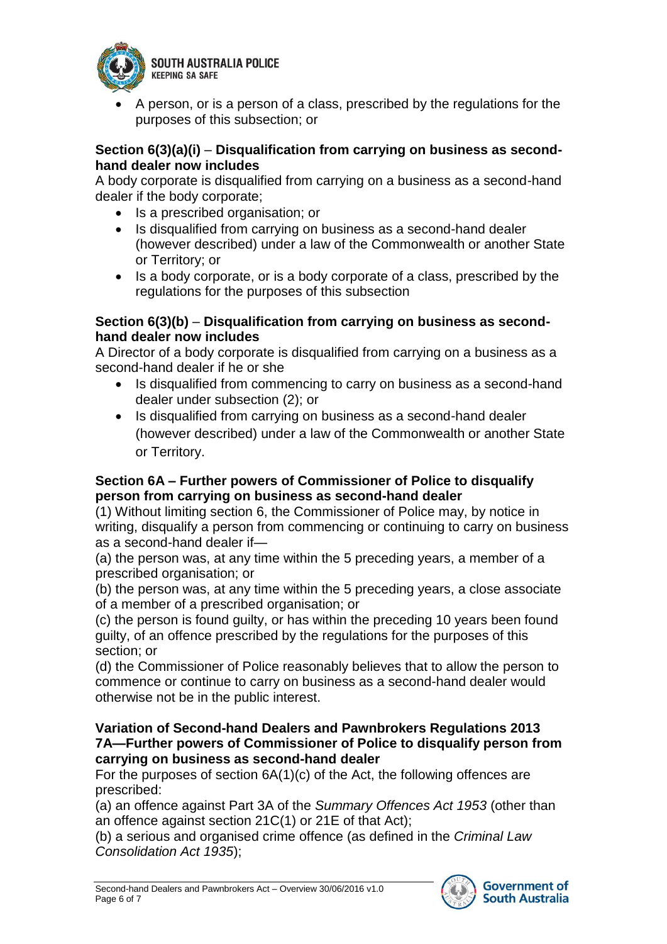

**SOUTH AUSTRALIA POLICE KEEPING SA SAFE** 

 A person, or is a person of a class, prescribed by the regulations for the purposes of this subsection; or

#### **Section 6(3)(a)(i)** – **Disqualification from carrying on business as secondhand dealer now includes**

A body corporate is disqualified from carrying on a business as a second-hand dealer if the body corporate;

- Is a prescribed organisation; or
- Is disqualified from carrying on business as a second-hand dealer (however described) under a law of the Commonwealth or another State or Territory; or
- Is a body corporate, or is a body corporate of a class, prescribed by the regulations for the purposes of this subsection

#### **Section 6(3)(b)** – **Disqualification from carrying on business as secondhand dealer now includes**

A Director of a body corporate is disqualified from carrying on a business as a second-hand dealer if he or she

- Is disqualified from commencing to carry on business as a second-hand dealer under subsection (2); or
- Is disqualified from carrying on business as a second-hand dealer (however described) under a law of the Commonwealth or another State or Territory.

## **Section 6A – Further powers of Commissioner of Police to disqualify person from carrying on business as second-hand dealer**

(1) Without limiting section 6, the Commissioner of Police may, by notice in writing, disqualify a person from commencing or continuing to carry on business as a second-hand dealer if—

(a) the person was, at any time within the 5 preceding years, a member of a prescribed organisation; or

(b) the person was, at any time within the 5 preceding years, a close associate of a member of a prescribed organisation; or

(c) the person is found guilty, or has within the preceding 10 years been found guilty, of an offence prescribed by the regulations for the purposes of this section; or

(d) the Commissioner of Police reasonably believes that to allow the person to commence or continue to carry on business as a second-hand dealer would otherwise not be in the public interest.

#### **Variation of Second-hand Dealers and Pawnbrokers Regulations 2013 7A—Further powers of Commissioner of Police to disqualify person from carrying on business as second-hand dealer**

For the purposes of section 6A(1)(c) of the Act, the following offences are prescribed:

(a) an offence against Part 3A of the *Summary Offences Act 1953* (other than an offence against section 21C(1) or 21E of that Act);

(b) a serious and organised crime offence (as defined in the *Criminal Law Consolidation Act 1935*);